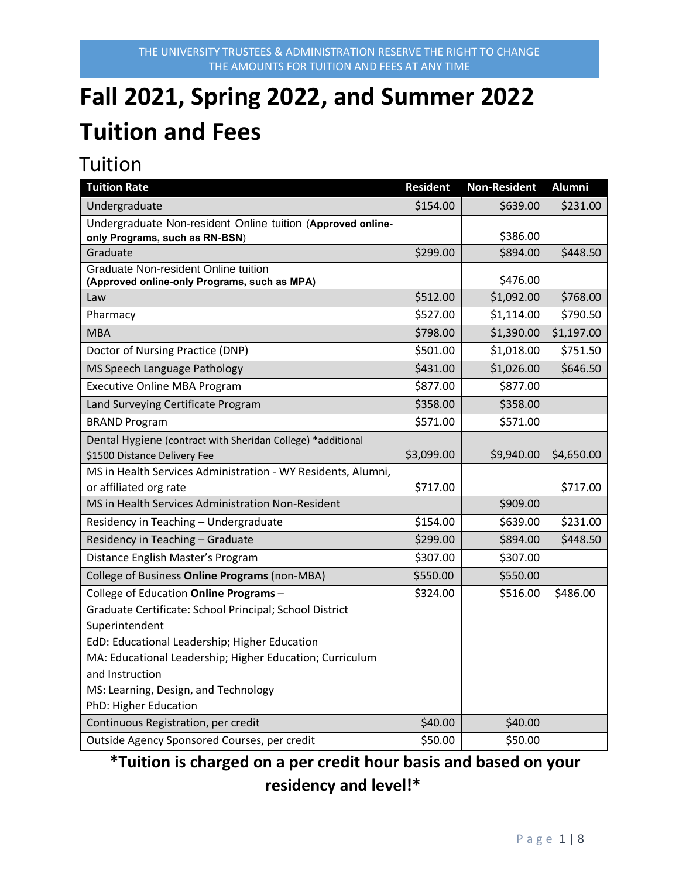# **Fall 2021, Spring 2022, and Summer 2022 Tuition and Fees**

### Tuition

| <b>Tuition Rate</b>                                                                         | <b>Resident</b> | <b>Non-Resident</b> | <b>Alumni</b> |
|---------------------------------------------------------------------------------------------|-----------------|---------------------|---------------|
| Undergraduate                                                                               | \$154.00        | \$639.00            | \$231.00      |
| Undergraduate Non-resident Online tuition (Approved online-                                 |                 |                     |               |
| only Programs, such as RN-BSN)                                                              |                 | \$386.00            |               |
| Graduate                                                                                    | \$299.00        | \$894.00            | \$448.50      |
| <b>Graduate Non-resident Online tuition</b><br>(Approved online-only Programs, such as MPA) |                 | \$476.00            |               |
| Law                                                                                         | \$512.00        | \$1,092.00          | \$768.00      |
| Pharmacy                                                                                    | \$527.00        | \$1,114.00          | \$790.50      |
| <b>MBA</b>                                                                                  | \$798.00        | \$1,390.00          | \$1,197.00    |
| Doctor of Nursing Practice (DNP)                                                            | \$501.00        | \$1,018.00          | \$751.50      |
| MS Speech Language Pathology                                                                | \$431.00        | \$1,026.00          | \$646.50      |
| <b>Executive Online MBA Program</b>                                                         | \$877.00        | \$877.00            |               |
| Land Surveying Certificate Program                                                          | \$358.00        | \$358.00            |               |
| <b>BRAND Program</b>                                                                        | \$571.00        | \$571.00            |               |
| Dental Hygiene (contract with Sheridan College) *additional<br>\$1500 Distance Delivery Fee | \$3,099.00      | \$9,940.00          | \$4,650.00    |
| MS in Health Services Administration - WY Residents, Alumni,                                |                 |                     |               |
| or affiliated org rate                                                                      | \$717.00        |                     | \$717.00      |
| MS in Health Services Administration Non-Resident                                           |                 | \$909.00            |               |
| Residency in Teaching - Undergraduate                                                       | \$154.00        | \$639.00            | \$231.00      |
| Residency in Teaching - Graduate                                                            | \$299.00        | \$894.00            | \$448.50      |
| Distance English Master's Program                                                           | \$307.00        | \$307.00            |               |
| College of Business Online Programs (non-MBA)                                               | \$550.00        | \$550.00            |               |
| College of Education Online Programs -                                                      | \$324.00        | \$516.00            | \$486.00      |
| Graduate Certificate: School Principal; School District                                     |                 |                     |               |
| Superintendent                                                                              |                 |                     |               |
| EdD: Educational Leadership; Higher Education                                               |                 |                     |               |
| MA: Educational Leadership; Higher Education; Curriculum                                    |                 |                     |               |
| and Instruction                                                                             |                 |                     |               |
| MS: Learning, Design, and Technology                                                        |                 |                     |               |
| PhD: Higher Education                                                                       |                 |                     |               |
| Continuous Registration, per credit                                                         | \$40.00         | \$40.00             |               |
| Outside Agency Sponsored Courses, per credit                                                | \$50.00         | \$50.00             |               |

**\*Tuition is charged on a per credit hour basis and based on your residency and level!\***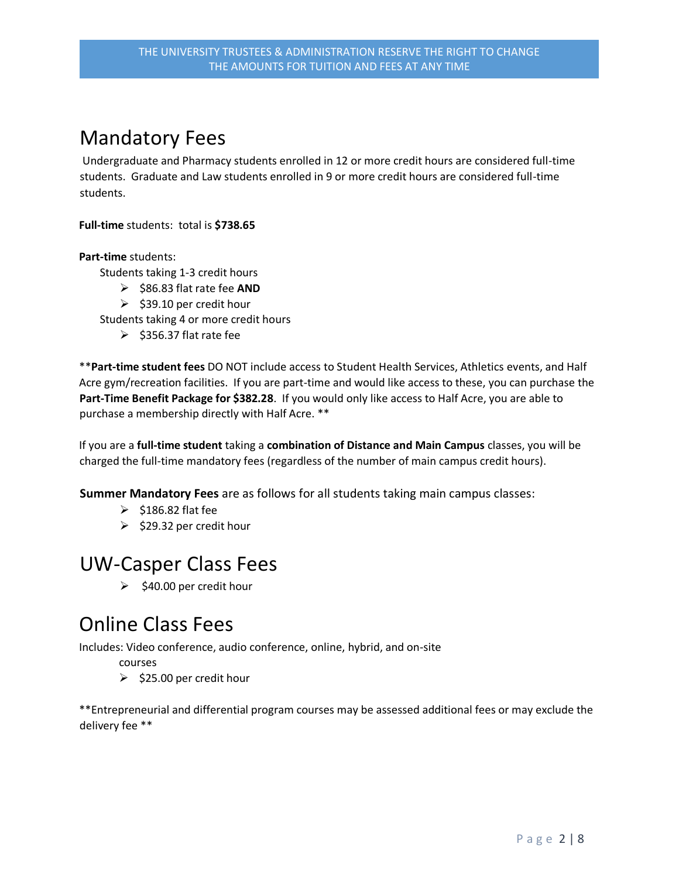### Mandatory Fees

Undergraduate and Pharmacy students enrolled in 12 or more credit hours are considered full-time students. Graduate and Law students enrolled in 9 or more credit hours are considered full-time students.

**Full-time** students: total is **\$738.65**

**Part-time** students:

Students taking 1-3 credit hours

- \$86.83 flat rate fee **AND**
	- $\geq$  \$39.10 per credit hour

Students taking 4 or more credit hours

 $\geq$  \$356.37 flat rate fee

\*\***Part-time student fees** DO NOT include access to Student Health Services, Athletics events, and Half Acre gym/recreation facilities. If you are part-time and would like access to these, you can purchase the **Part-Time Benefit Package for \$382.28**. If you would only like access to Half Acre, you are able to purchase a membership directly with Half Acre. \*\*

If you are a **full-time student** taking a **combination of Distance and Main Campus** classes, you will be charged the full-time mandatory fees (regardless of the number of main campus credit hours).

**Summer Mandatory Fees** are as follows for all students taking main campus classes:

- $\geq$  \$186.82 flat fee
- $\geq$  \$29.32 per credit hour

### UW-Casper Class Fees

 $\geq$  \$40.00 per credit hour

### Online Class Fees

Includes: Video conference, audio conference, online, hybrid, and on-site

courses

 $\geq$  \$25.00 per credit hour

\*\*Entrepreneurial and differential program courses may be assessed additional fees or may exclude the delivery fee \*\*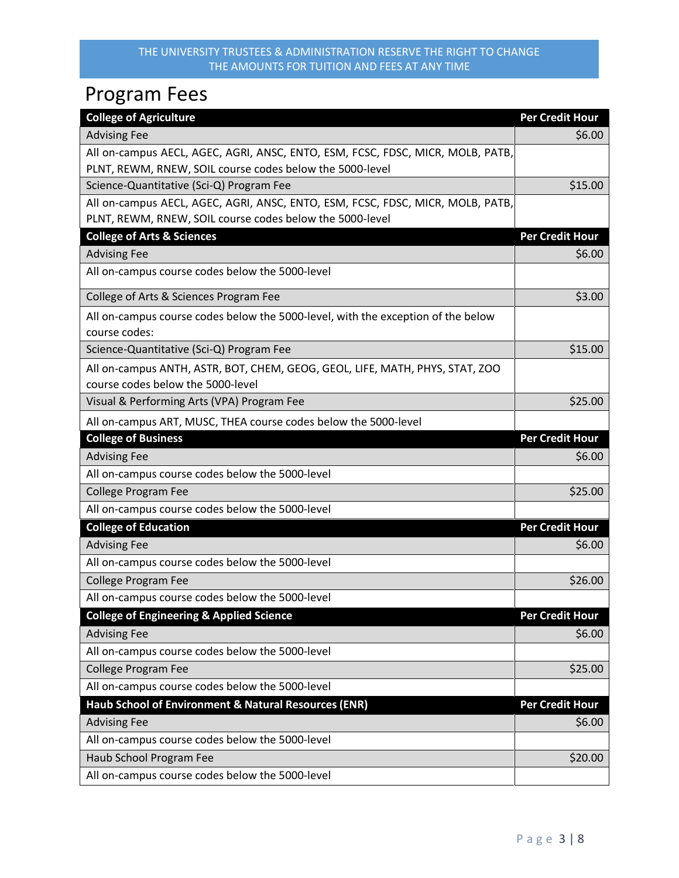## Program Fees

| <b>College of Agriculture</b>                                                                                                              | <b>Per Credit Hour</b> |
|--------------------------------------------------------------------------------------------------------------------------------------------|------------------------|
| <b>Advising Fee</b>                                                                                                                        | \$6.00                 |
| All on-campus AECL, AGEC, AGRI, ANSC, ENTO, ESM, FCSC, FDSC, MICR, MOLB, PATB,<br>PLNT, REWM, RNEW, SOIL course codes below the 5000-level |                        |
| Science-Quantitative (Sci-Q) Program Fee                                                                                                   | \$15.00                |
| All on-campus AECL, AGEC, AGRI, ANSC, ENTO, ESM, FCSC, FDSC, MICR, MOLB, PATB,                                                             |                        |
| PLNT, REWM, RNEW, SOIL course codes below the 5000-level                                                                                   |                        |
| <b>College of Arts &amp; Sciences</b>                                                                                                      | <b>Per Credit Hour</b> |
| <b>Advising Fee</b>                                                                                                                        | \$6.00                 |
| All on-campus course codes below the 5000-level                                                                                            |                        |
| College of Arts & Sciences Program Fee                                                                                                     | \$3.00                 |
| All on-campus course codes below the 5000-level, with the exception of the below<br>course codes:                                          |                        |
| Science-Quantitative (Sci-Q) Program Fee                                                                                                   | \$15.00                |
| All on-campus ANTH, ASTR, BOT, CHEM, GEOG, GEOL, LIFE, MATH, PHYS, STAT, ZOO<br>course codes below the 5000-level                          |                        |
| Visual & Performing Arts (VPA) Program Fee                                                                                                 | \$25.00                |
| All on-campus ART, MUSC, THEA course codes below the 5000-level                                                                            |                        |
| <b>College of Business</b>                                                                                                                 | <b>Per Credit Hour</b> |
| <b>Advising Fee</b>                                                                                                                        | \$6.00                 |
| All on-campus course codes below the 5000-level                                                                                            |                        |
| <b>College Program Fee</b>                                                                                                                 | \$25.00                |
| All on-campus course codes below the 5000-level                                                                                            |                        |
| <b>College of Education</b>                                                                                                                | <b>Per Credit Hour</b> |
| <b>Advising Fee</b>                                                                                                                        | \$6.00                 |
| All on-campus course codes below the 5000-level                                                                                            |                        |
| <b>College Program Fee</b>                                                                                                                 | \$26.00                |
| All on-campus course codes below the 5000-level                                                                                            |                        |
| <b>College of Engineering &amp; Applied Science</b>                                                                                        | <b>Per Credit Hour</b> |
| <b>Advising Fee</b>                                                                                                                        | \$6.00                 |
| All on-campus course codes below the 5000-level                                                                                            |                        |
| <b>College Program Fee</b>                                                                                                                 | \$25.00                |
| All on-campus course codes below the 5000-level                                                                                            |                        |
| Haub School of Environment & Natural Resources (ENR)                                                                                       | <b>Per Credit Hour</b> |
| <b>Advising Fee</b>                                                                                                                        | \$6.00                 |
| All on-campus course codes below the 5000-level                                                                                            |                        |
| Haub School Program Fee                                                                                                                    | \$20.00                |
| All on-campus course codes below the 5000-level                                                                                            |                        |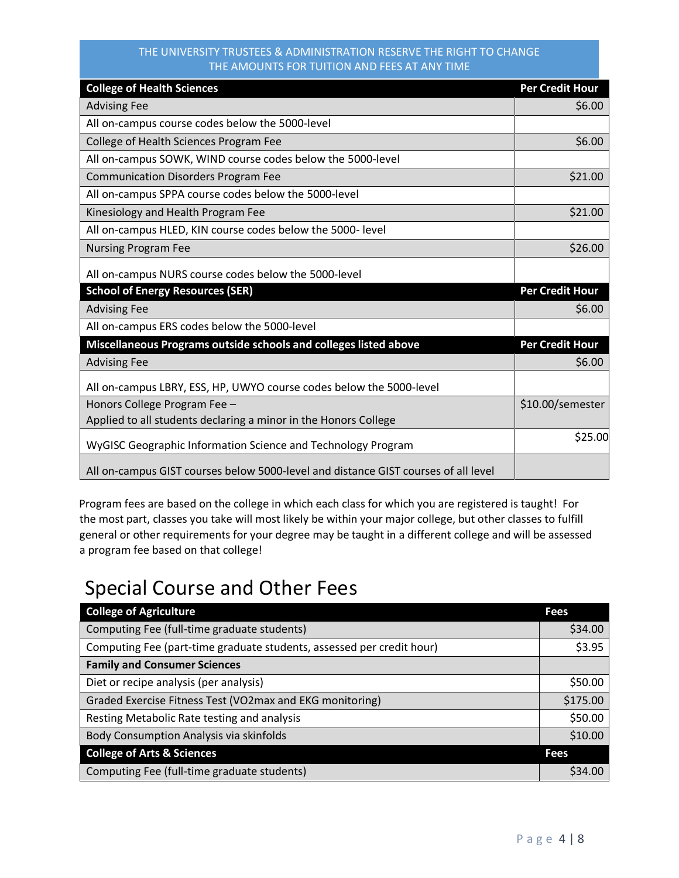| <b>College of Health Sciences</b>                                                  | <b>Per Credit Hour</b> |
|------------------------------------------------------------------------------------|------------------------|
| <b>Advising Fee</b>                                                                | \$6.00                 |
| All on-campus course codes below the 5000-level                                    |                        |
| College of Health Sciences Program Fee                                             | \$6.00                 |
| All on-campus SOWK, WIND course codes below the 5000-level                         |                        |
| <b>Communication Disorders Program Fee</b>                                         | \$21.00                |
| All on-campus SPPA course codes below the 5000-level                               |                        |
| Kinesiology and Health Program Fee                                                 | \$21.00                |
| All on-campus HLED, KIN course codes below the 5000- level                         |                        |
| <b>Nursing Program Fee</b>                                                         | \$26.00                |
| All on-campus NURS course codes below the 5000-level                               |                        |
| <b>School of Energy Resources (SER)</b>                                            | <b>Per Credit Hour</b> |
| <b>Advising Fee</b>                                                                | \$6.00                 |
| All on-campus ERS codes below the 5000-level                                       |                        |
| Miscellaneous Programs outside schools and colleges listed above                   | <b>Per Credit Hour</b> |
| <b>Advising Fee</b>                                                                | \$6.00                 |
| All on-campus LBRY, ESS, HP, UWYO course codes below the 5000-level                |                        |
| Honors College Program Fee -                                                       | \$10.00/semester       |
| Applied to all students declaring a minor in the Honors College                    |                        |
| WyGISC Geographic Information Science and Technology Program                       | \$25.00                |
| All on-campus GIST courses below 5000-level and distance GIST courses of all level |                        |

Program fees are based on the college in which each class for which you are registered is taught! For the most part, classes you take will most likely be within your major college, but other classes to fulfill general or other requirements for your degree may be taught in a different college and will be assessed a program fee based on that college!

### Special Course and Other Fees

| <b>College of Agriculture</b>                                         | <b>Fees</b> |
|-----------------------------------------------------------------------|-------------|
| Computing Fee (full-time graduate students)                           | \$34.00     |
| Computing Fee (part-time graduate students, assessed per credit hour) | \$3.95      |
| <b>Family and Consumer Sciences</b>                                   |             |
| Diet or recipe analysis (per analysis)                                | \$50.00     |
| Graded Exercise Fitness Test (VO2max and EKG monitoring)              | \$175.00    |
| Resting Metabolic Rate testing and analysis                           | \$50.00     |
| Body Consumption Analysis via skinfolds                               | \$10.00     |
| <b>College of Arts &amp; Sciences</b>                                 | <b>Fees</b> |
| Computing Fee (full-time graduate students)                           | \$34.00     |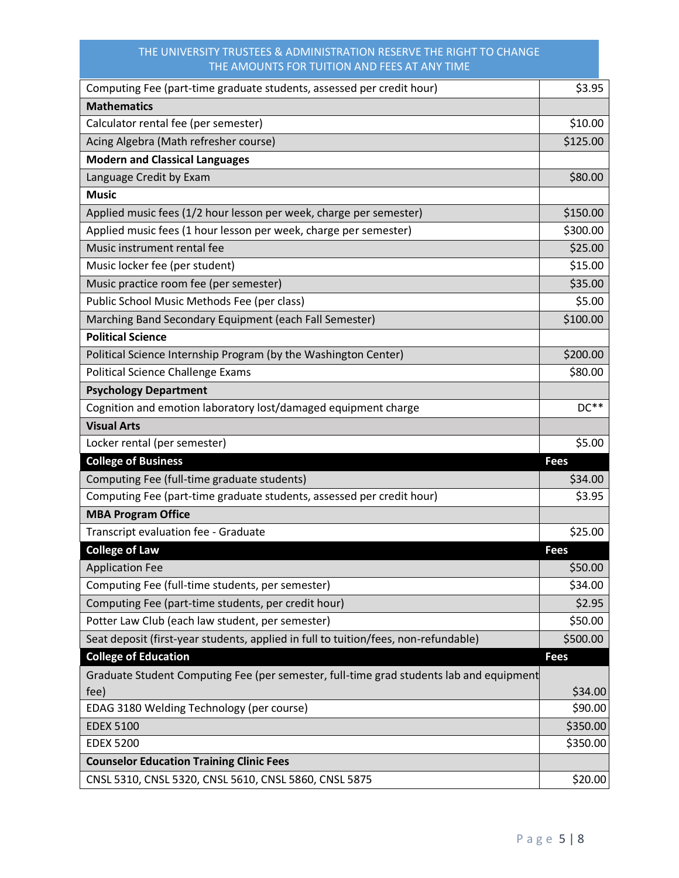| Computing Fee (part-time graduate students, assessed per credit hour)                   | \$3.95      |
|-----------------------------------------------------------------------------------------|-------------|
| <b>Mathematics</b>                                                                      |             |
| Calculator rental fee (per semester)                                                    | \$10.00     |
| Acing Algebra (Math refresher course)                                                   | \$125.00    |
| <b>Modern and Classical Languages</b>                                                   |             |
| Language Credit by Exam                                                                 | \$80.00     |
| <b>Music</b>                                                                            |             |
| Applied music fees (1/2 hour lesson per week, charge per semester)                      | \$150.00    |
| Applied music fees (1 hour lesson per week, charge per semester)                        | \$300.00    |
| Music instrument rental fee                                                             | \$25.00     |
| Music locker fee (per student)                                                          | \$15.00     |
| Music practice room fee (per semester)                                                  | \$35.00     |
| Public School Music Methods Fee (per class)                                             | \$5.00      |
| Marching Band Secondary Equipment (each Fall Semester)                                  | \$100.00    |
| <b>Political Science</b>                                                                |             |
| Political Science Internship Program (by the Washington Center)                         | \$200.00    |
| Political Science Challenge Exams                                                       | \$80.00     |
| <b>Psychology Department</b>                                                            |             |
| Cognition and emotion laboratory lost/damaged equipment charge                          | $DC**$      |
| <b>Visual Arts</b>                                                                      |             |
| Locker rental (per semester)                                                            | \$5.00      |
| <b>College of Business</b>                                                              | <b>Fees</b> |
| Computing Fee (full-time graduate students)                                             | \$34.00     |
| Computing Fee (part-time graduate students, assessed per credit hour)                   | \$3.95      |
| <b>MBA Program Office</b>                                                               |             |
| Transcript evaluation fee - Graduate                                                    | \$25.00     |
| <b>College of Law</b>                                                                   | <b>Fees</b> |
| <b>Application Fee</b>                                                                  | \$50.00     |
| Computing Fee (full-time students, per semester)                                        | \$34.00     |
| Computing Fee (part-time students, per credit hour)                                     | \$2.95      |
| Potter Law Club (each law student, per semester)                                        | \$50.00     |
| Seat deposit (first-year students, applied in full to tuition/fees, non-refundable)     | \$500.00    |
| <b>College of Education</b>                                                             | <b>Fees</b> |
| Graduate Student Computing Fee (per semester, full-time grad students lab and equipment |             |
| fee)                                                                                    | \$34.00     |
| EDAG 3180 Welding Technology (per course)                                               | \$90.00     |
| <b>EDEX 5100</b>                                                                        | \$350.00    |
| <b>EDEX 5200</b>                                                                        | \$350.00    |
| <b>Counselor Education Training Clinic Fees</b>                                         |             |
| CNSL 5310, CNSL 5320, CNSL 5610, CNSL 5860, CNSL 5875                                   | \$20.00     |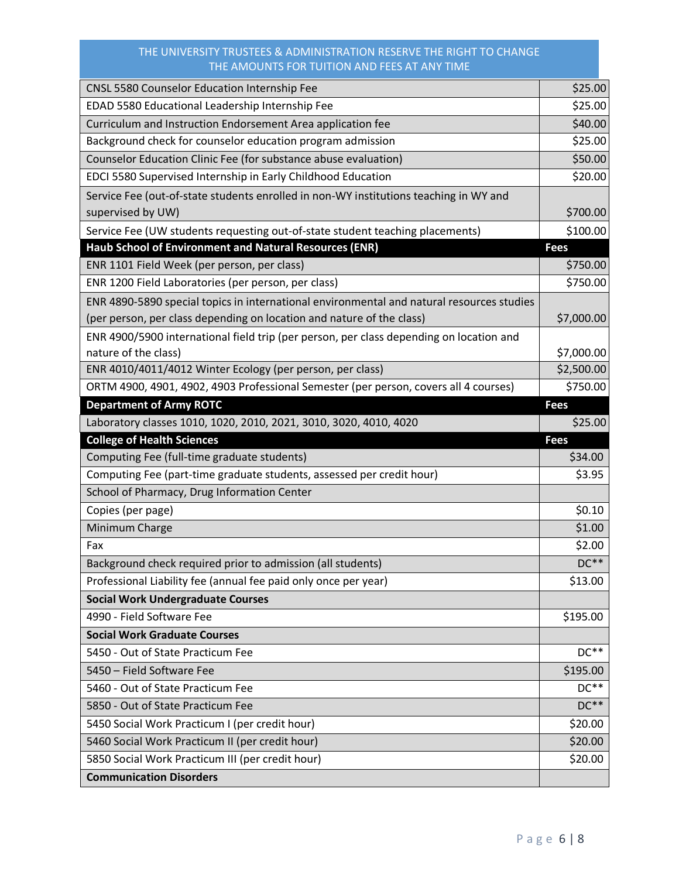| <b>CNSL 5580 Counselor Education Internship Fee</b>                                       | \$25.00     |
|-------------------------------------------------------------------------------------------|-------------|
| EDAD 5580 Educational Leadership Internship Fee                                           | \$25.00     |
| Curriculum and Instruction Endorsement Area application fee                               | \$40.00     |
| Background check for counselor education program admission                                | \$25.00     |
| Counselor Education Clinic Fee (for substance abuse evaluation)                           | \$50.00     |
| EDCI 5580 Supervised Internship in Early Childhood Education                              | \$20.00     |
| Service Fee (out-of-state students enrolled in non-WY institutions teaching in WY and     |             |
| supervised by UW)                                                                         | \$700.00    |
| Service Fee (UW students requesting out-of-state student teaching placements)             | \$100.00    |
| Haub School of Environment and Natural Resources (ENR)                                    | <b>Fees</b> |
| ENR 1101 Field Week (per person, per class)                                               | \$750.00    |
| ENR 1200 Field Laboratories (per person, per class)                                       | \$750.00    |
| ENR 4890-5890 special topics in international environmental and natural resources studies |             |
| (per person, per class depending on location and nature of the class)                     | \$7,000.00  |
| ENR 4900/5900 international field trip (per person, per class depending on location and   |             |
| nature of the class)                                                                      | \$7,000.00  |
| ENR 4010/4011/4012 Winter Ecology (per person, per class)                                 | \$2,500.00  |
| ORTM 4900, 4901, 4902, 4903 Professional Semester (per person, covers all 4 courses)      | \$750.00    |
| <b>Department of Army ROTC</b>                                                            | <b>Fees</b> |
| Laboratory classes 1010, 1020, 2010, 2021, 3010, 3020, 4010, 4020                         | \$25.00     |
|                                                                                           |             |
| <b>College of Health Sciences</b>                                                         | <b>Fees</b> |
| Computing Fee (full-time graduate students)                                               | \$34.00     |
| Computing Fee (part-time graduate students, assessed per credit hour)                     | \$3.95      |
| School of Pharmacy, Drug Information Center                                               |             |
| Copies (per page)                                                                         | \$0.10      |
| Minimum Charge                                                                            | \$1.00      |
| Fax                                                                                       | \$2.00      |
| Background check required prior to admission (all students)                               | $DC**$      |
| Professional Liability fee (annual fee paid only once per year)                           | \$13.00     |
| <b>Social Work Undergraduate Courses</b>                                                  |             |
| 4990 - Field Software Fee                                                                 | \$195.00    |
| <b>Social Work Graduate Courses</b>                                                       |             |
| 5450 - Out of State Practicum Fee                                                         | $DC**$      |
| 5450 - Field Software Fee                                                                 | \$195.00    |
| 5460 - Out of State Practicum Fee                                                         | $DC**$      |
| 5850 - Out of State Practicum Fee                                                         | $DC**$      |
| 5450 Social Work Practicum I (per credit hour)                                            | \$20.00     |
| 5460 Social Work Practicum II (per credit hour)                                           | \$20.00     |
| 5850 Social Work Practicum III (per credit hour)                                          | \$20.00     |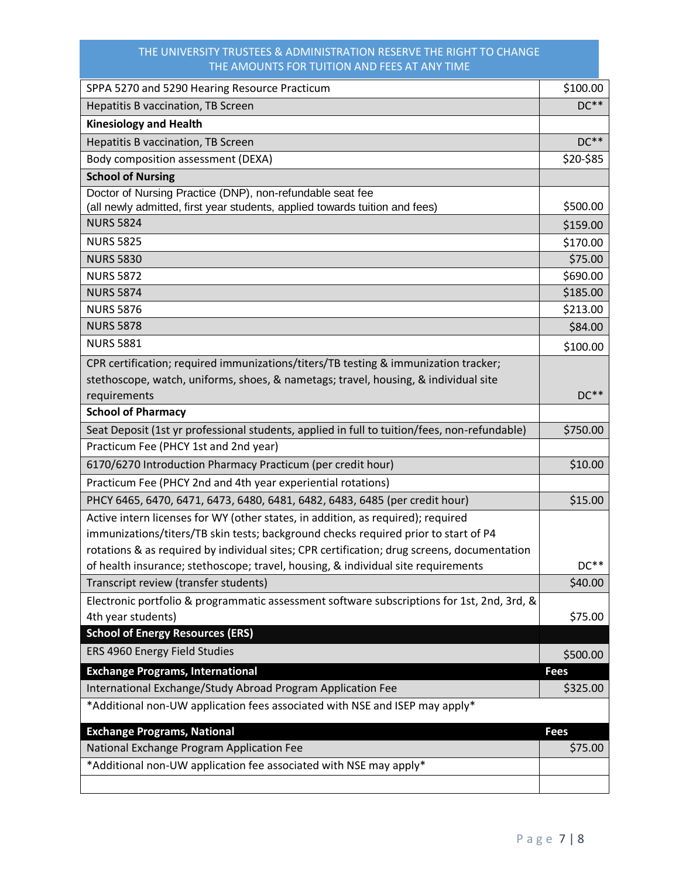| SPPA 5270 and 5290 Hearing Resource Practicum                                                | \$100.00    |
|----------------------------------------------------------------------------------------------|-------------|
| Hepatitis B vaccination, TB Screen                                                           | $DC**$      |
| <b>Kinesiology and Health</b>                                                                |             |
| Hepatitis B vaccination, TB Screen                                                           | $DC**$      |
| Body composition assessment (DEXA)                                                           | \$20-\$85   |
| <b>School of Nursing</b>                                                                     |             |
| Doctor of Nursing Practice (DNP), non-refundable seat fee                                    |             |
| (all newly admitted, first year students, applied towards tuition and fees)                  | \$500.00    |
| <b>NURS 5824</b>                                                                             | \$159.00    |
| <b>NURS 5825</b>                                                                             | \$170.00    |
| <b>NURS 5830</b>                                                                             | \$75.00     |
| <b>NURS 5872</b>                                                                             | \$690.00    |
| <b>NURS 5874</b>                                                                             | \$185.00    |
| <b>NURS 5876</b>                                                                             | \$213.00    |
| <b>NURS 5878</b>                                                                             | \$84.00     |
| <b>NURS 5881</b>                                                                             | \$100.00    |
| CPR certification; required immunizations/titers/TB testing & immunization tracker;          |             |
| stethoscope, watch, uniforms, shoes, & nametags; travel, housing, & individual site          |             |
| requirements                                                                                 | $DC**$      |
| <b>School of Pharmacy</b>                                                                    |             |
| Seat Deposit (1st yr professional students, applied in full to tuition/fees, non-refundable) | \$750.00    |
| Practicum Fee (PHCY 1st and 2nd year)                                                        |             |
| 6170/6270 Introduction Pharmacy Practicum (per credit hour)                                  | \$10.00     |
| Practicum Fee (PHCY 2nd and 4th year experiential rotations)                                 |             |
| PHCY 6465, 6470, 6471, 6473, 6480, 6481, 6482, 6483, 6485 (per credit hour)                  | \$15.00     |
| Active intern licenses for WY (other states, in addition, as required); required             |             |
| immunizations/titers/TB skin tests; background checks required prior to start of P4          |             |
| rotations & as required by individual sites; CPR certification; drug screens, documentation  |             |
| of health insurance; stethoscope; travel, housing, & individual site requirements            | $DC**$      |
| Transcript review (transfer students)                                                        | \$40.00     |
| Electronic portfolio & programmatic assessment software subscriptions for 1st, 2nd, 3rd, &   |             |
| 4th year students)                                                                           | \$75.00     |
| <b>School of Energy Resources (ERS)</b>                                                      |             |
| ERS 4960 Energy Field Studies                                                                | \$500.00    |
| <b>Exchange Programs, International</b>                                                      | <b>Fees</b> |
| International Exchange/Study Abroad Program Application Fee                                  | \$325.00    |
| *Additional non-UW application fees associated with NSE and ISEP may apply*                  |             |
| <b>Exchange Programs, National</b>                                                           | <b>Fees</b> |
| National Exchange Program Application Fee                                                    | \$75.00     |
| *Additional non-UW application fee associated with NSE may apply*                            |             |
|                                                                                              |             |